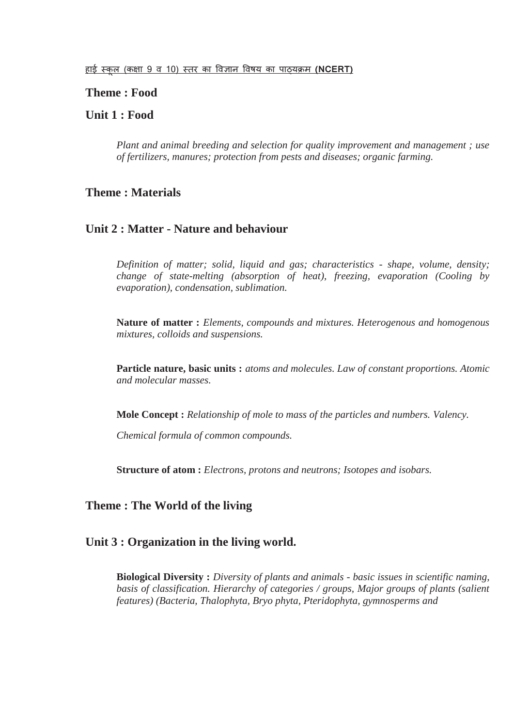### **Theme : Food**

# **Unit 1 : Food**

*Plant and animal breeding and selection for quality improvement and management ; use of fertilizers, manures; protection from pests and diseases; organic farming.*

### **Theme : Materials**

### **Unit 2 : Matter - Nature and behaviour**

*Definition of matter; solid, liquid and gas; characteristics - shape, volume, density; change of state-melting (absorption of heat), freezing, evaporation (Cooling by evaporation), condensation, sublimation.*

**Nature of matter :** *Elements, compounds and mixtures. Heterogenous and homogenous mixtures, colloids and suspensions.*

**Particle nature, basic units :** *atoms and molecules. Law of constant proportions. Atomic and molecular masses.*

**Mole Concept :** *Relationship of mole to mass of the particles and numbers. Valency.*

*Chemical formula of common compounds.*

**Structure of atom :** *Electrons, protons and neutrons; Isotopes and isobars.*

### **Theme : The World of the living**

#### **Unit 3 : Organization in the living world.**

**Biological Diversity :** *Diversity of plants and animals - basic issues in scientific naming, basis of classification. Hierarchy of categories / groups, Major groups of plants (salient features) (Bacteria, Thalophyta, Bryo phyta, Pteridophyta, gymnosperms and*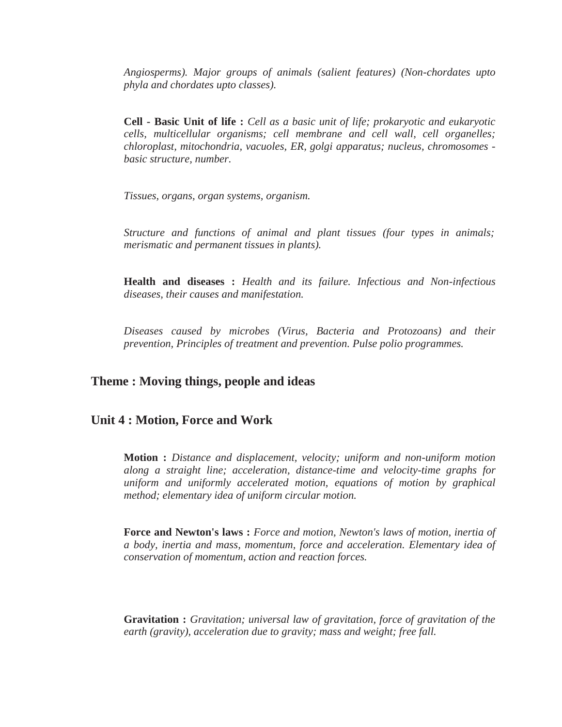*Angiosperms). Major groups of animals (salient features) (Non-chordates upto phyla and chordates upto classes).*

**Cell - Basic Unit of life :** *Cell as a basic unit of life; prokaryotic and eukaryotic cells, multicellular organisms; cell membrane and cell wall, cell organelles; chloroplast, mitochondria, vacuoles, ER, golgi apparatus; nucleus, chromosomes basic structure, number.*

*Tissues, organs, organ systems, organism.*

*Structure and functions of animal and plant tissues (four types in animals; merismatic and permanent tissues in plants).*

**Health and diseases :** *Health and its failure. Infectious and Non-infectious diseases, their causes and manifestation.*

*Diseases caused by microbes (Virus, Bacteria and Protozoans) and their prevention, Principles of treatment and prevention. Pulse polio programmes.*

#### **Theme : Moving things, people and ideas**

#### **Unit 4 : Motion, Force and Work**

**Motion :** *Distance and displacement, velocity; uniform and non-uniform motion along a straight line; acceleration, distance-time and velocity-time graphs for uniform and uniformly accelerated motion, equations of motion by graphical method; elementary idea of uniform circular motion.*

**Force and Newton's laws :** *Force and motion, Newton's laws of motion, inertia of a body, inertia and mass, momentum, force and acceleration. Elementary idea of conservation of momentum, action and reaction forces.*

**Gravitation :** *Gravitation; universal law of gravitation, force of gravitation of the earth (gravity), acceleration due to gravity; mass and weight; free fall.*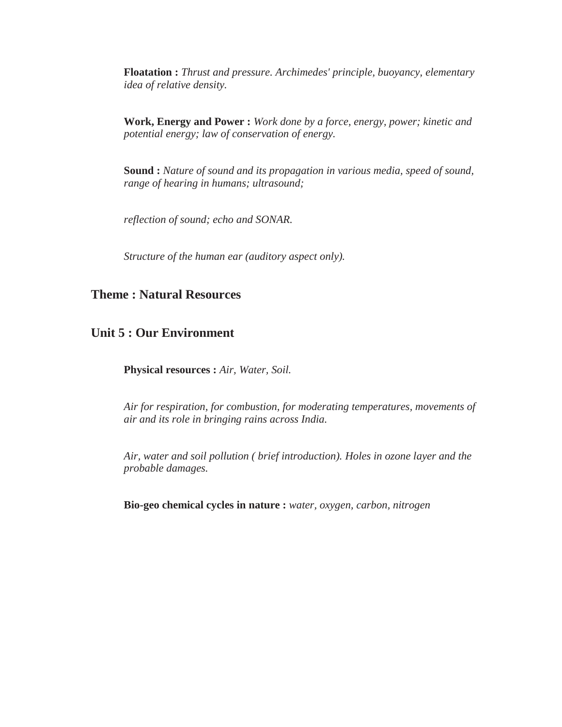**Floatation :** *Thrust and pressure. Archimedes' principle, buoyancy, elementary idea of relative density.*

**Work, Energy and Power :** *Work done by a force, energy, power; kinetic and potential energy; law of conservation of energy.*

**Sound :** *Nature of sound and its propagation in various media, speed of sound, range of hearing in humans; ultrasound;*

*reflection of sound; echo and SONAR.*

*Structure of the human ear (auditory aspect only).*

# **Theme : Natural Resources**

# **Unit 5 : Our Environment**

**Physical resources :** *Air, Water, Soil.*

*Air for respiration, for combustion, for moderating temperatures, movements of air and its role in bringing rains across India.*

*Air, water and soil pollution ( brief introduction). Holes in ozone layer and the probable damages.*

**Bio-geo chemical cycles in nature :** *water, oxygen, carbon, nitrogen*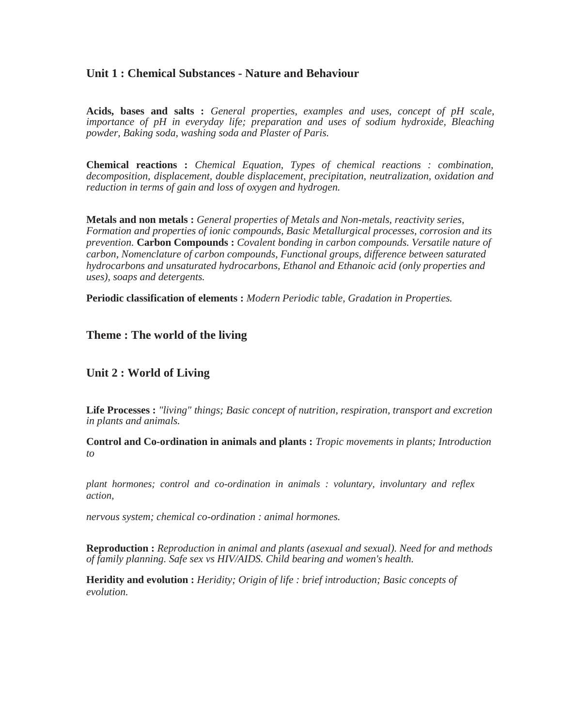### **Unit 1 : Chemical Substances - Nature and Behaviour**

**Acids, bases and salts :** *General properties, examples and uses, concept of pH scale, importance of pH in everyday life; preparation and uses of sodium hydroxide, Bleaching powder, Baking soda, washing soda and Plaster of Paris.*

**Chemical reactions :** *Chemical Equation, Types of chemical reactions : combination, decomposition, displacement, double displacement, precipitation, neutralization, oxidation and reduction in terms of gain and loss of oxygen and hydrogen.*

**Metals and non metals :** *General properties of Metals and Non-metals, reactivity series, Formation and properties of ionic compounds, Basic Metallurgical processes, corrosion and its prevention.* **Carbon Compounds :** *Covalent bonding in carbon compounds. Versatile nature of carbon, Nomenclature of carbon compounds, Functional groups, difference between saturated hydrocarbons and unsaturated hydrocarbons, Ethanol and Ethanoic acid (only properties and uses), soaps and detergents.*

**Periodic classification of elements :** *Modern Periodic table, Gradation in Properties.*

# **Theme : The world of the living**

# **Unit 2 : World of Living**

**Life Processes :** *"living" things; Basic concept of nutrition, respiration, transport and excretion in plants and animals.*

**Control and Co-ordination in animals and plants :** *Tropic movements in plants; Introduction to*

*plant hormones; control and co-ordination in animals : voluntary, involuntary and reflex action,*

*nervous system; chemical co-ordination : animal hormones.*

**Reproduction :** *Reproduction in animal and plants (asexual and sexual). Need for and methods of family planning. Safe sex vs HIV/AIDS. Child bearing and women's health.*

**Heridity and evolution :** *Heridity; Origin of life : brief introduction; Basic concepts of evolution.*